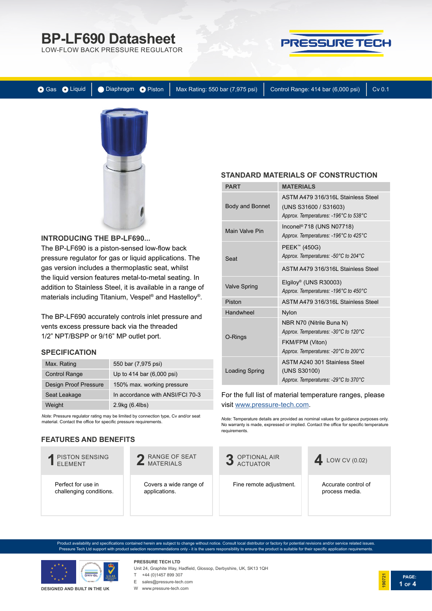LOW-FLOW BACK PRESSURE REGULATOR



Gas Oliquid | Diaphragm O Piston | Max Rating: 550 bar (7,975 psi) | Control Range: 414 bar (6,000 psi) | Cv 0.1



## **INTRODUCING THE BP-LF690...**

The BP-LF690 is a piston-sensed low-flow back pressure regulator for gas or liquid applications. The gas version includes a thermoplastic seat, whilst the liquid version features metal-to-metal seating. In addition to Stainless Steel, it is available in a range of materials including Titanium, Vespel® and Hastelloy®.

The BP-LF690 accurately controls inlet pressure and vents excess pressure back via the threaded 1/2" NPT/BSPP or 9/16" MP outlet port.

## **SPECIFICATION**

| Max. Rating           | 550 bar (7,975 psi)              |
|-----------------------|----------------------------------|
| <b>Control Range</b>  | Up to 414 bar (6,000 psi)        |
| Design Proof Pressure | 150% max. working pressure       |
| Seat Leakage          | In accordance with ANSI/FCI 70-3 |
| Weight                | 2.9kg (6.4lbs)                   |

*Note:* Pressure regulator rating may be limited by connection type, Cv and/or seat material. Contact the office for specific pressure requirements.

# **FEATURES AND BENEFITS**



oduct availability and specifications contained herein are subject to change without notice. Consult local distributor or factory for potential revisions and/or service related issues Pressure Tech Ltd support with product selection recommendations only - it is the users responsibility to ensure the product is suitable for their specific application requirements.



#### **DESIGNED AND BUILT IN THE UK**

### **PRESSURE TECH LTD** Unit 24, Graphite Way, Hadfield, Glossop, Derbyshire, UK, SK13 1QH

#### T +44 (0)1457 899 307

E sales@pressure-tech.com

W www.pressure-tech.com

### **STANDARD MATERIALS OF CONSTRUCTION**

| PART                   | <b>MATERIALS</b>                                                                                     |
|------------------------|------------------------------------------------------------------------------------------------------|
| <b>Body and Bonnet</b> | ASTM A479 316/316L Stainless Steel<br>(UNS S31600 / S31603)<br>Approx. Temperatures: -196°C to 538°C |
| <b>Main Valve Pin</b>  | Inconel <sup>®</sup> 718 (UNS N07718)<br>Approx. Temperatures: -196°C to 425°C                       |
| Seat                   | PEEK™ (450G)<br>Approx. Temperatures: -50°C to 204°C                                                 |
|                        | ASTM A479 316/316L Stainless Steel                                                                   |
| <b>Valve Spring</b>    | Elgiloy <sup>®</sup> (UNS R30003)<br>Approx. Temperatures: -196°C to 450°C                           |
| Piston                 | ASTM A479 316/316L Stainless Steel                                                                   |
| Handwheel              | <b>Nylon</b>                                                                                         |
| O-Rings                | NBR N70 (Nitrile Buna N)<br>Approx. Temperatures: -30°C to 120°C                                     |
|                        | FKM/FPM (Viton)<br>Approx. Temperatures: -20°C to 200°C                                              |
| Loading Spring         | ASTM A240 301 Stainless Steel<br>(UNS S30100)<br>Approx. Temperatures: -29°C to 370°C                |

## For the full list of material temperature ranges, please visit [www.pressure-tech.com.](http://www.pressure-tech.com/resources/49/material temperature range guide.pdf)

*Note:* Temperature details are provided as nominal values for guidance purposes only. No warranty is made, expressed or implied. Contact the office for specific temperature requirements.



Accurate control of process media.

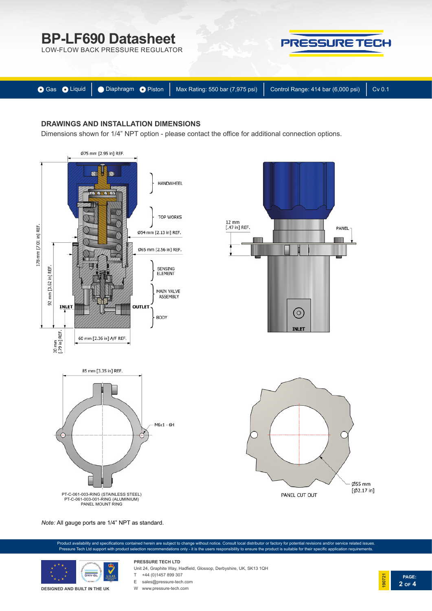LOW-FLOW BACK PRESSURE REGULATOR



|  | ● Gas ● Liquid   ● Diaphragm ● Piston   Max Rating: 550 bar (7,975 psi)   Control Range: 414 bar (6,000 psi)   Cv 0.1 |  |
|--|-----------------------------------------------------------------------------------------------------------------------|--|

# **DRAWINGS AND INSTALLATION DIMENSIONS**

Dimensions shown for 1/4" NPT option - please contact the office for additional connection options.



*Note:* All gauge ports are 1/4" NPT as standard.





#### **DESIGNED AND BUILT IN THE UK**

Unit 24, Graphite Way, Hadfield, Glossop, Derbyshire, UK, SK13 1QH

 $T +44 (0)1457899307$ 

**PRESSURE TECH LTD**

E sales@pressure-tech.com W www.pressure-tech.com

**PAGE: 190721 2 OF 4**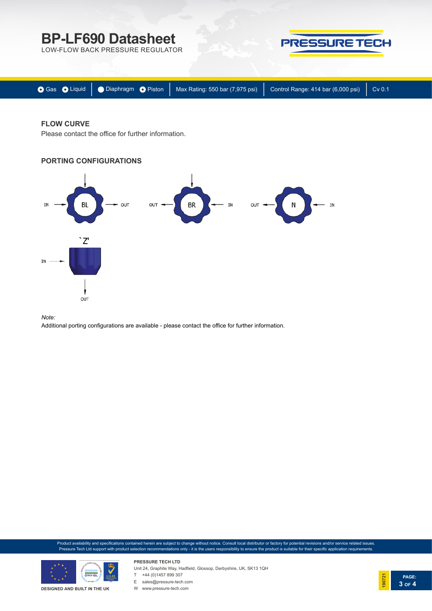LOW-FLOW BACK PRESSURE REGULATOR



|  | ● Gas ● Liquid   ● Diaphragm ● Piston   Max Rating: 550 bar (7,975 psi)   Control Range: 414 bar (6,000 psi)   Cv 0.1 |  |
|--|-----------------------------------------------------------------------------------------------------------------------|--|
|  |                                                                                                                       |  |

# **FLOW CURVE**

Please contact the office for further information.





#### *Note:*

Additional porting configurations are available - please contact the office for further information.

Product availability and specifications contained herein are subject to change without notice. Consult local distributor or factory for potential revisions and/or service related issues. Pressure Tech Ltd support with product selection recommendations only - it is the users responsibility to ensure the product is suitable for their specific application requirements.



**DESIGNED AND BUILT IN THE UK**

**PRESSURE TECH LTD** Unit 24, Graphite Way, Hadfield, Glossop, Derbyshire, UK, SK13 1QH  $T +44 (0)1457899307$ 



W www.pressure-tech.com